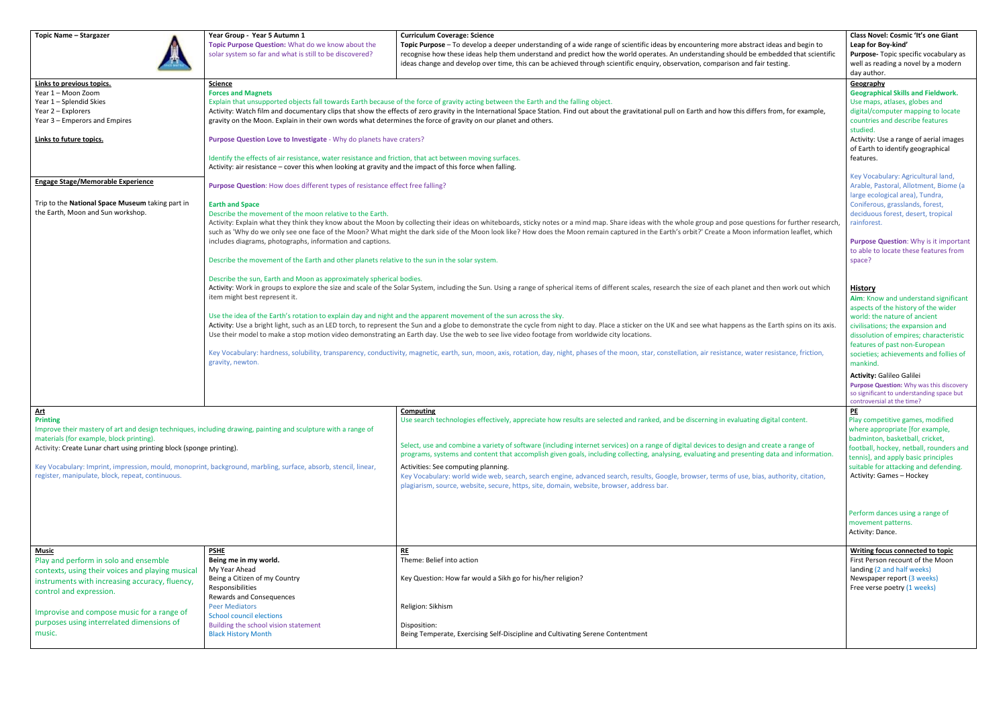| <b>Topic Name - Stargazer</b>                                                                                                                                                                                                                                                               | Year Group - Year 5 Autumn 1<br>Topic Purpose Question: What do we know about the<br>solar system so far and what is still to be discovered?                                                                                                                                                                                                                                                                                                                                                                                                                                                                                                                                                                                                                                                                                                                                                                                                                                                                                                         | <b>Curriculum Coverage: Science</b><br>Topic Purpose - To develop a deeper understanding of a wide range of scientific ideas by encountering more abstract ideas and begin to<br>recognise how these ideas help them understand and predict how the world operates. An understanding should be embedded that scientific<br>ideas change and develop over time, this can be achieved through scientific enquiry, observation, comparison and fair testing.                                                                                                                                                                                                                                                                              | Class Novel: Cosmic 'It's one Giant<br>Leap for Boy-kind'<br>Purpose- Topic specific vocabulary as<br>well as reading a novel by a modern<br>day author.                                                                                                                                                                                                                                                                                                      |
|---------------------------------------------------------------------------------------------------------------------------------------------------------------------------------------------------------------------------------------------------------------------------------------------|------------------------------------------------------------------------------------------------------------------------------------------------------------------------------------------------------------------------------------------------------------------------------------------------------------------------------------------------------------------------------------------------------------------------------------------------------------------------------------------------------------------------------------------------------------------------------------------------------------------------------------------------------------------------------------------------------------------------------------------------------------------------------------------------------------------------------------------------------------------------------------------------------------------------------------------------------------------------------------------------------------------------------------------------------|----------------------------------------------------------------------------------------------------------------------------------------------------------------------------------------------------------------------------------------------------------------------------------------------------------------------------------------------------------------------------------------------------------------------------------------------------------------------------------------------------------------------------------------------------------------------------------------------------------------------------------------------------------------------------------------------------------------------------------------|---------------------------------------------------------------------------------------------------------------------------------------------------------------------------------------------------------------------------------------------------------------------------------------------------------------------------------------------------------------------------------------------------------------------------------------------------------------|
| Links to previous topics.<br>Year 1 - Moon Zoom<br>Year 1 - Splendid Skies<br>Year 2 - Explorers<br>Year 3 – Emperors and Empires<br>Links to future topics.                                                                                                                                | <b>Science</b><br><b>Forces and Magnets</b><br>Explain that unsupported objects fall towards Earth because of the force of gravity acting between the Earth and the falling object.<br>Activity: Watch film and documentary clips that show the effects of zero gravity in the International Space Station. Find out about the gravitational pull on Earth and how this differs from, for example,<br>gravity on the Moon. Explain in their own words what determines the force of gravity on our planet and others.<br>Purpose Question Love to Investigate - Why do planets have craters?<br>Identify the effects of air resistance, water resistance and friction, that act between moving surfaces.<br>Activity: air resistance - cover this when looking at gravity and the impact of this force when falling.                                                                                                                                                                                                                                  |                                                                                                                                                                                                                                                                                                                                                                                                                                                                                                                                                                                                                                                                                                                                        | Geography<br><b>Geographical Skills and Fieldwork.</b><br>Use maps, atlases, globes and<br>digital/computer mapping to locate<br>countries and describe features<br>studied.<br>Activity: Use a range of aerial images<br>of Earth to identify geographical<br>features.                                                                                                                                                                                      |
| <b>Engage Stage/Memorable Experience</b><br>Trip to the National Space Museum taking part in<br>the Earth, Moon and Sun workshop.                                                                                                                                                           | Purpose Question: How does different types of resistance effect free falling?<br><b>Earth and Space</b><br>Describe the movement of the moon relative to the Earth.<br>includes diagrams, photographs, information and captions.<br>Describe the movement of the Earth and other planets relative to the sun in the solar system.                                                                                                                                                                                                                                                                                                                                                                                                                                                                                                                                                                                                                                                                                                                    | Activity: Explain what they think they know about the Moon by collecting their ideas on whiteboards, sticky notes or a mind map. Share ideas with the whole group and pose questions for further research,<br>such as 'Why do we only see one face of the Moon? What might the dark side of the Moon look like? How does the Moon remain captured in the Earth's orbit?' Create a Moon information leaflet, which                                                                                                                                                                                                                                                                                                                      | Key Vocabulary: Agricultural land,<br>Arable, Pastoral, Allotment, Biome (a<br>large ecological area), Tundra,<br>Coniferous, grasslands, forest,<br>deciduous forest, desert, tropical<br>rainforest.<br><b>Purpose Question: Why is it important</b><br>to able to locate these features from<br>space?                                                                                                                                                     |
|                                                                                                                                                                                                                                                                                             | Describe the sun, Earth and Moon as approximately spherical bodies.<br>Activity: Work in groups to explore the size and scale of the Solar System, including the Sun. Using a range of spherical items of different scales, research the size of each planet and then work out which<br>item might best represent it.<br>Use the idea of the Earth's rotation to explain day and night and the apparent movement of the sun across the sky.<br>Activity: Use a bright light, such as an LED torch, to represent the Sun and a globe to demonstrate the cycle from night to day. Place a sticker on the UK and see what happens as the Earth spins on its axis.<br>Use their model to make a stop motion video demonstrating an Earth day. Use the web to see live video footage from worldwide city locations.<br>Key Vocabulary: hardness, solubility, transparency, conductivity, magnetic, earth, sun, moon, axis, rotation, day, night, phases of the moon, star, constellation, air resistance, water resistance, friction,<br>gravity, newton. |                                                                                                                                                                                                                                                                                                                                                                                                                                                                                                                                                                                                                                                                                                                                        | <b>History</b><br>Aim: Know and understand significant<br>aspects of the history of the wider<br>world: the nature of ancient<br>civilisations; the expansion and<br>dissolution of empires; characteristic<br>features of past non-European<br>societies; achievements and follies of<br>mankind.<br><b>Activity: Galileo Galilei</b><br>Purpose Question: Why was this discovery<br>so significant to understanding space but<br>controversial at the time? |
| <u>Art</u><br><b>Printing</b><br>materials (for example, block printing).<br>Activity: Create Lunar chart using printing block (sponge printing).<br>register, manipulate, block, repeat, continuous.                                                                                       | Improve their mastery of art and design techniques, including drawing, painting and sculpture with a range of<br>Key Vocabulary: Imprint, impression, mould, monoprint, background, marbling, surface, absorb, stencil, linear,                                                                                                                                                                                                                                                                                                                                                                                                                                                                                                                                                                                                                                                                                                                                                                                                                      | <b>Computing</b><br>Use search technologies effectively, appreciate how results are selected and ranked, and be discerning in evaluating digital content.<br>Select, use and combine a variety of software (including internet services) on a range of digital devices to design and create a range of<br>programs, systems and content that accomplish given goals, including collecting, analysing, evaluating and presenting data and information.<br>Activities: See computing planning.<br>Key Vocabulary: world wide web, search, search engine, advanced search, results, Google, browser, terms of use, bias, authority, citation,<br>plagiarism, source, website, secure, https, site, domain, website, browser, address bar. | P <sub>E</sub><br>Play competitive games, modified<br>where appropriate [for example,<br>badminton, basketball, cricket,<br>football, hockey, netball, rounders and<br>tennis], and apply basic principles<br>suitable for attacking and defending.<br>Activity: Games - Hockey<br>Perform dances using a range of<br>movement patterns.<br>Activity: Dance.                                                                                                  |
| <u>Music</u><br>Play and perform in solo and ensemble<br>contexts, using their voices and playing musical<br>instruments with increasing accuracy, fluency,<br>control and expression.<br>Improvise and compose music for a range of<br>purposes using interrelated dimensions of<br>music. | <b>PSHE</b><br>Being me in my world.<br>My Year Ahead<br>Being a Citizen of my Country<br>Responsibilities<br><b>Rewards and Consequences</b><br><b>Peer Mediators</b><br><b>School council elections</b><br>Building the school vision statement<br><b>Black History Month</b>                                                                                                                                                                                                                                                                                                                                                                                                                                                                                                                                                                                                                                                                                                                                                                      | <u>RE</u><br>Theme: Belief into action<br>Key Question: How far would a Sikh go for his/her religion?<br>Religion: Sikhism<br>Disposition:<br>Being Temperate, Exercising Self-Discipline and Cultivating Serene Contentment                                                                                                                                                                                                                                                                                                                                                                                                                                                                                                           | Writing focus connected to topic<br>First Person recount of the Moon<br>landing (2 and half weeks)<br>Newspaper report (3 weeks)<br>Free verse poetry (1 weeks)                                                                                                                                                                                                                                                                                               |

| Music                                            | <b>PSHE</b>                          | <u>RE</u>                                                                      |
|--------------------------------------------------|--------------------------------------|--------------------------------------------------------------------------------|
| Play and perform in solo and ensemble            | Being me in my world.                | Theme: Belief into action                                                      |
| contexts, using their voices and playing musical | My Year Ahead                        |                                                                                |
| instruments with increasing accuracy, fluency,   | Being a Citizen of my Country        | Key Question: How far would a Sikh go for his/her religion?                    |
| control and expression.                          | Responsibilities                     |                                                                                |
|                                                  | Rewards and Consequences             |                                                                                |
|                                                  | <b>Peer Mediators</b>                | Religion: Sikhism                                                              |
| Improvise and compose music for a range of       | School council elections             |                                                                                |
| purposes using interrelated dimensions of        | Building the school vision statement | Disposition:                                                                   |
| music.                                           | <b>Black History Month</b>           | Being Temperate, Exercising Self-Discipline and Cultivating Serene Contentment |
|                                                  |                                      |                                                                                |